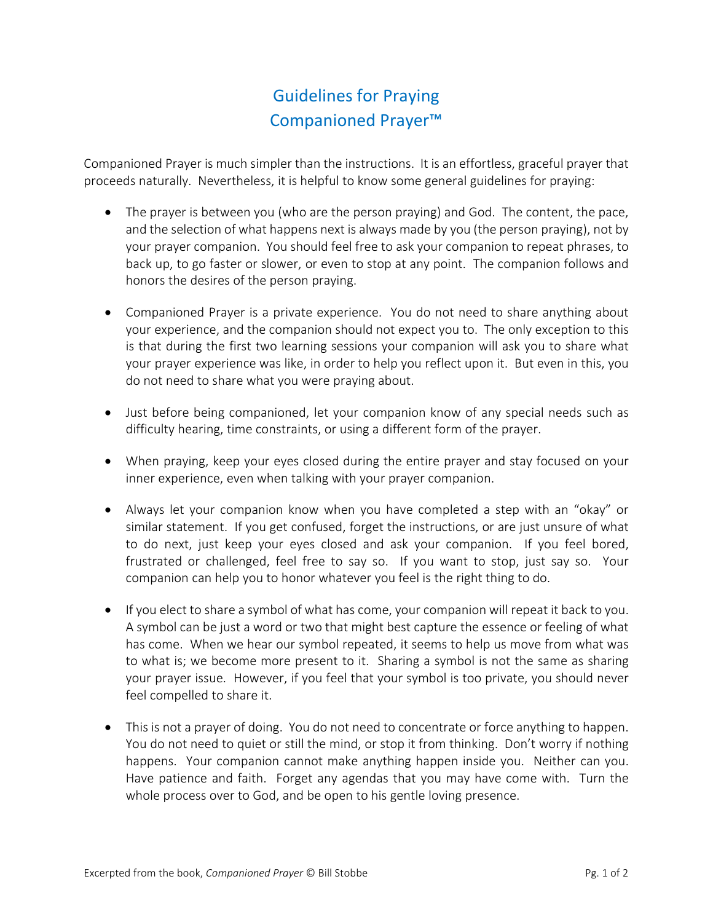## Guidelines for Praying Companioned Prayer™

Companioned Prayer is much simpler than the instructions. It is an effortless, graceful prayer that proceeds naturally. Nevertheless, it is helpful to know some general guidelines for praying:

- The prayer is between you (who are the person praying) and God. The content, the pace, and the selection of what happens next is always made by you (the person praying), not by your prayer companion. You should feel free to ask your companion to repeat phrases, to back up, to go faster or slower, or even to stop at any point. The companion follows and honors the desires of the person praying.
- Companioned Prayer is a private experience. You do not need to share anything about your experience, and the companion should not expect you to. The only exception to this is that during the first two learning sessions your companion will ask you to share what your prayer experience was like, in order to help you reflect upon it. But even in this, you do not need to share what you were praying about.
- Just before being companioned, let your companion know of any special needs such as difficulty hearing, time constraints, or using a different form of the prayer.
- When praying, keep your eyes closed during the entire prayer and stay focused on your inner experience, even when talking with your prayer companion.
- Always let your companion know when you have completed a step with an "okay" or similar statement. If you get confused, forget the instructions, or are just unsure of what to do next, just keep your eyes closed and ask your companion. If you feel bored, frustrated or challenged, feel free to say so. If you want to stop, just say so. Your companion can help you to honor whatever you feel is the right thing to do.
- If you elect to share a symbol of what has come, your companion will repeat it back to you. A symbol can be just a word or two that might best capture the essence or feeling of what has come. When we hear our symbol repeated, it seems to help us move from what was to what is; we become more present to it. Sharing a symbol is not the same as sharing your prayer issue. However, if you feel that your symbol is too private, you should never feel compelled to share it.
- This is not a prayer of doing. You do not need to concentrate or force anything to happen. You do not need to quiet or still the mind, or stop it from thinking. Don't worry if nothing happens. Your companion cannot make anything happen inside you. Neither can you. Have patience and faith. Forget any agendas that you may have come with. Turn the whole process over to God, and be open to his gentle loving presence.